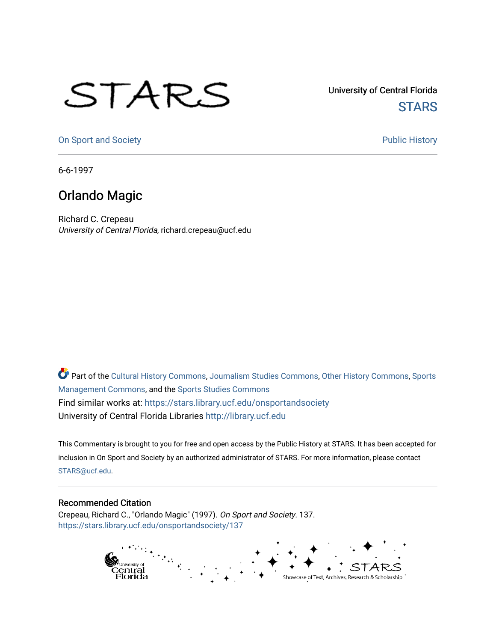## STARS

University of Central Florida **STARS** 

[On Sport and Society](https://stars.library.ucf.edu/onsportandsociety) **Public History** Public History

6-6-1997

## Orlando Magic

Richard C. Crepeau University of Central Florida, richard.crepeau@ucf.edu

Part of the [Cultural History Commons](http://network.bepress.com/hgg/discipline/496?utm_source=stars.library.ucf.edu%2Fonsportandsociety%2F137&utm_medium=PDF&utm_campaign=PDFCoverPages), [Journalism Studies Commons,](http://network.bepress.com/hgg/discipline/333?utm_source=stars.library.ucf.edu%2Fonsportandsociety%2F137&utm_medium=PDF&utm_campaign=PDFCoverPages) [Other History Commons,](http://network.bepress.com/hgg/discipline/508?utm_source=stars.library.ucf.edu%2Fonsportandsociety%2F137&utm_medium=PDF&utm_campaign=PDFCoverPages) [Sports](http://network.bepress.com/hgg/discipline/1193?utm_source=stars.library.ucf.edu%2Fonsportandsociety%2F137&utm_medium=PDF&utm_campaign=PDFCoverPages) [Management Commons](http://network.bepress.com/hgg/discipline/1193?utm_source=stars.library.ucf.edu%2Fonsportandsociety%2F137&utm_medium=PDF&utm_campaign=PDFCoverPages), and the [Sports Studies Commons](http://network.bepress.com/hgg/discipline/1198?utm_source=stars.library.ucf.edu%2Fonsportandsociety%2F137&utm_medium=PDF&utm_campaign=PDFCoverPages) Find similar works at: <https://stars.library.ucf.edu/onsportandsociety> University of Central Florida Libraries [http://library.ucf.edu](http://library.ucf.edu/) 

This Commentary is brought to you for free and open access by the Public History at STARS. It has been accepted for inclusion in On Sport and Society by an authorized administrator of STARS. For more information, please contact [STARS@ucf.edu](mailto:STARS@ucf.edu).

## Recommended Citation

Crepeau, Richard C., "Orlando Magic" (1997). On Sport and Society. 137. [https://stars.library.ucf.edu/onsportandsociety/137](https://stars.library.ucf.edu/onsportandsociety/137?utm_source=stars.library.ucf.edu%2Fonsportandsociety%2F137&utm_medium=PDF&utm_campaign=PDFCoverPages)

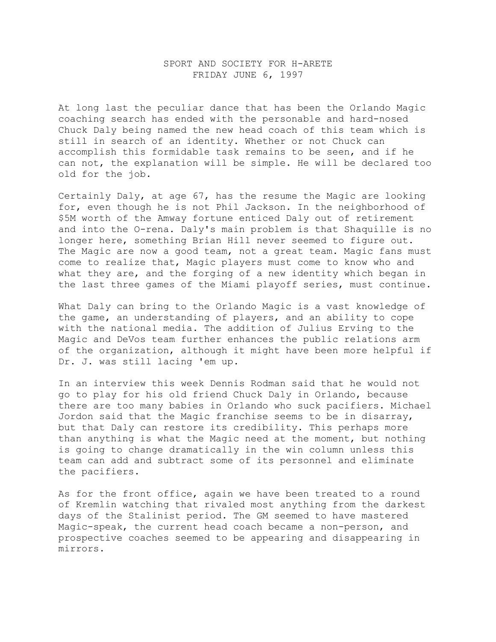## SPORT AND SOCIETY FOR H-ARETE FRIDAY JUNE 6, 1997

At long last the peculiar dance that has been the Orlando Magic coaching search has ended with the personable and hard-nosed Chuck Daly being named the new head coach of this team which is still in search of an identity. Whether or not Chuck can accomplish this formidable task remains to be seen, and if he can not, the explanation will be simple. He will be declared too old for the job.

Certainly Daly, at age 67, has the resume the Magic are looking for, even though he is not Phil Jackson. In the neighborhood of \$5M worth of the Amway fortune enticed Daly out of retirement and into the O-rena. Daly's main problem is that Shaquille is no longer here, something Brian Hill never seemed to figure out. The Magic are now a good team, not a great team. Magic fans must come to realize that, Magic players must come to know who and what they are, and the forging of a new identity which began in the last three games of the Miami playoff series, must continue.

What Daly can bring to the Orlando Magic is a vast knowledge of the game, an understanding of players, and an ability to cope with the national media. The addition of Julius Erving to the Magic and DeVos team further enhances the public relations arm of the organization, although it might have been more helpful if Dr. J. was still lacing 'em up.

In an interview this week Dennis Rodman said that he would not go to play for his old friend Chuck Daly in Orlando, because there are too many babies in Orlando who suck pacifiers. Michael Jordon said that the Magic franchise seems to be in disarray, but that Daly can restore its credibility. This perhaps more than anything is what the Magic need at the moment, but nothing is going to change dramatically in the win column unless this team can add and subtract some of its personnel and eliminate the pacifiers.

As for the front office, again we have been treated to a round of Kremlin watching that rivaled most anything from the darkest days of the Stalinist period. The GM seemed to have mastered Magic-speak, the current head coach became a non-person, and prospective coaches seemed to be appearing and disappearing in mirrors.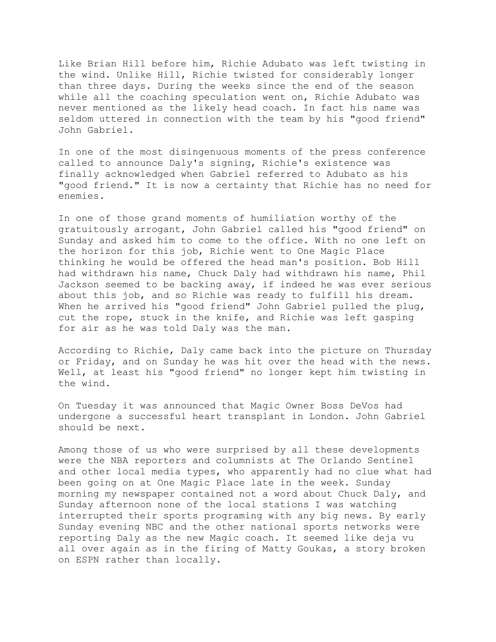Like Brian Hill before him, Richie Adubato was left twisting in the wind. Unlike Hill, Richie twisted for considerably longer than three days. During the weeks since the end of the season while all the coaching speculation went on, Richie Adubato was never mentioned as the likely head coach. In fact his name was seldom uttered in connection with the team by his "good friend" John Gabriel.

In one of the most disingenuous moments of the press conference called to announce Daly's signing, Richie's existence was finally acknowledged when Gabriel referred to Adubato as his "good friend." It is now a certainty that Richie has no need for enemies.

In one of those grand moments of humiliation worthy of the gratuitously arrogant, John Gabriel called his "good friend" on Sunday and asked him to come to the office. With no one left on the horizon for this job, Richie went to One Magic Place thinking he would be offered the head man's position. Bob Hill had withdrawn his name, Chuck Daly had withdrawn his name, Phil Jackson seemed to be backing away, if indeed he was ever serious about this job, and so Richie was ready to fulfill his dream. When he arrived his "good friend" John Gabriel pulled the plug, cut the rope, stuck in the knife, and Richie was left gasping for air as he was told Daly was the man.

According to Richie, Daly came back into the picture on Thursday or Friday, and on Sunday he was hit over the head with the news. Well, at least his "good friend" no longer kept him twisting in the wind.

On Tuesday it was announced that Magic Owner Boss DeVos had undergone a successful heart transplant in London. John Gabriel should be next.

Among those of us who were surprised by all these developments were the NBA reporters and columnists at The Orlando Sentinel and other local media types, who apparently had no clue what had been going on at One Magic Place late in the week. Sunday morning my newspaper contained not a word about Chuck Daly, and Sunday afternoon none of the local stations I was watching interrupted their sports programing with any big news. By early Sunday evening NBC and the other national sports networks were reporting Daly as the new Magic coach. It seemed like deja vu all over again as in the firing of Matty Goukas, a story broken on ESPN rather than locally.